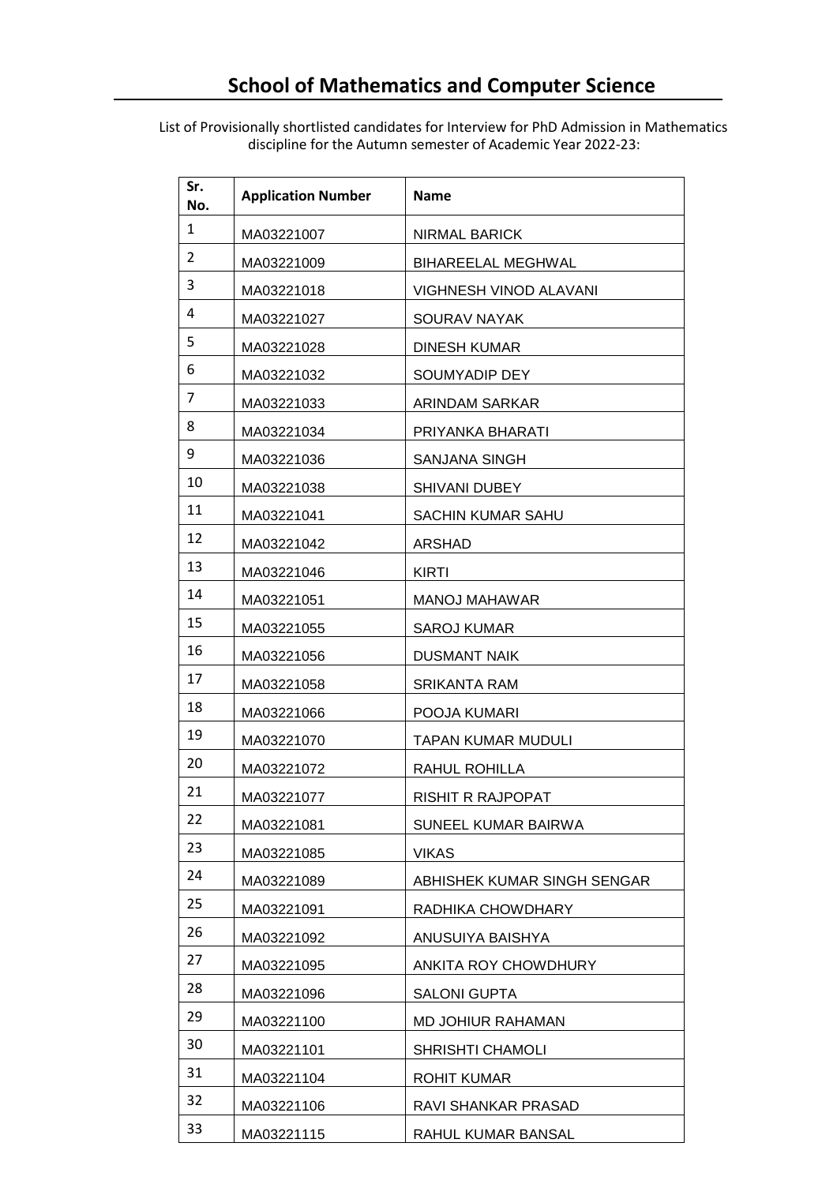List of Provisionally shortlisted candidates for Interview for PhD Admission in Mathematics discipline for the Autumn semester of Academic Year 2022-23:

| Sr.<br>No.     | <b>Application Number</b> | Name                        |
|----------------|---------------------------|-----------------------------|
| $\mathbf{1}$   | MA03221007                | NIRMAL BARICK               |
| $\overline{2}$ | MA03221009                | <b>BIHAREELAL MEGHWAL</b>   |
| 3              | MA03221018                | VIGHNESH VINOD ALAVANI      |
| 4              | MA03221027                | <b>SOURAV NAYAK</b>         |
| 5              | MA03221028                | <b>DINESH KUMAR</b>         |
| 6              | MA03221032                | SOUMYADIP DEY               |
| 7              | MA03221033                | ARINDAM SARKAR              |
| 8              | MA03221034                | PRIYANKA BHARATI            |
| 9              | MA03221036                | SANJANA SINGH               |
| 10             | MA03221038                | <b>SHIVANI DUBEY</b>        |
| 11             | MA03221041                | <b>SACHIN KUMAR SAHU</b>    |
| 12             | MA03221042                | <b>ARSHAD</b>               |
| 13             | MA03221046                | KIRTI                       |
| 14             | MA03221051                | <b>MANOJ MAHAWAR</b>        |
| 15             | MA03221055                | SAROJ KUMAR                 |
| 16             | MA03221056                | <b>DUSMANT NAIK</b>         |
| 17             | MA03221058                | SRIKANTA RAM                |
| 18             | MA03221066                | POOJA KUMARI                |
| 19             | MA03221070                | <b>TAPAN KUMAR MUDULI</b>   |
| 20             | MA03221072                | RAHUL ROHILLA               |
| 21             | MA03221077                | <b>RISHIT R RAJPOPAT</b>    |
| 22             | MA03221081                | SUNEEL KUMAR BAIRWA         |
| 23             | MA03221085                | <b>VIKAS</b>                |
| 24             | MA03221089                | ABHISHEK KUMAR SINGH SENGAR |
| 25             | MA03221091                | RADHIKA CHOWDHARY           |
| 26             | MA03221092                | ANUSUIYA BAISHYA            |
| 27             | MA03221095                | ANKITA ROY CHOWDHURY        |
| 28             | MA03221096                | <b>SALONI GUPTA</b>         |
| 29             | MA03221100                | MD JOHIUR RAHAMAN           |
| 30             | MA03221101                | <b>SHRISHTI CHAMOLI</b>     |
| 31             | MA03221104                | ROHIT KUMAR                 |
| 32             | MA03221106                | RAVI SHANKAR PRASAD         |
| 33             | MA03221115                | RAHUL KUMAR BANSAL          |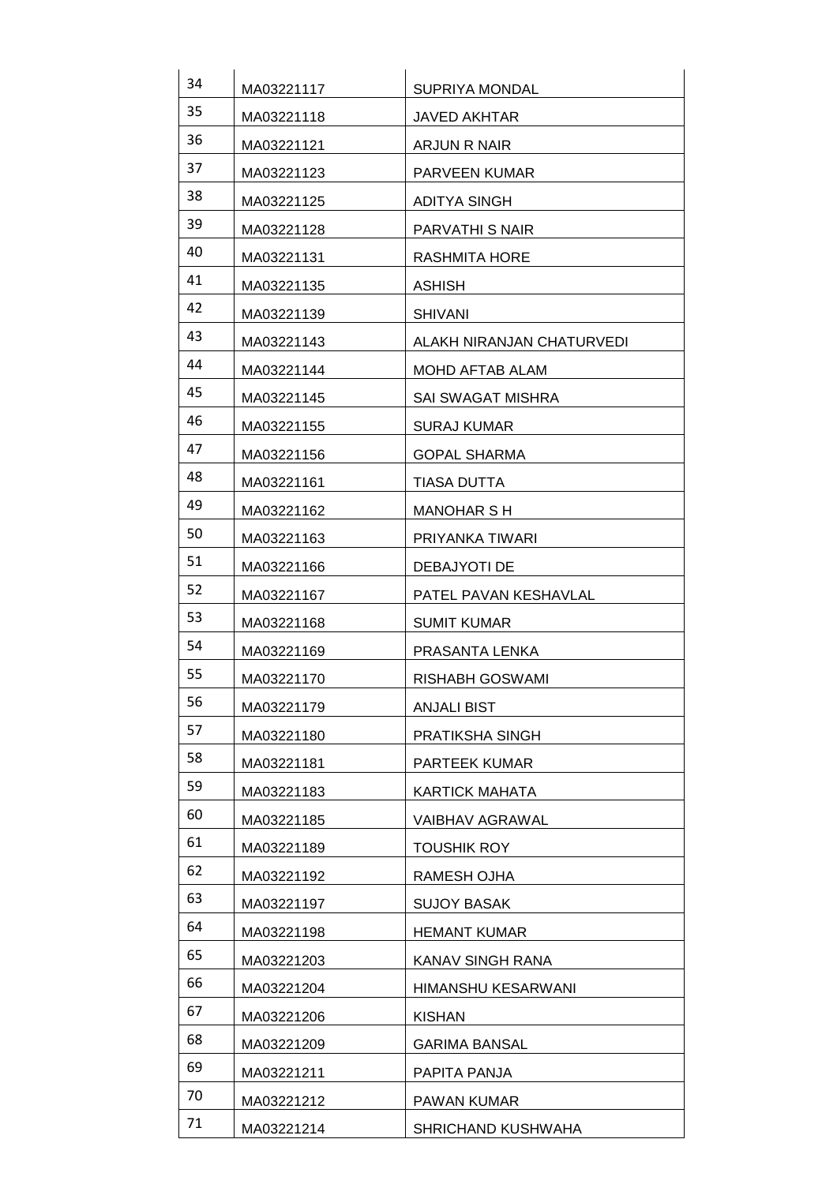| 34 | MA03221117 | SUPRIYA MONDAL            |
|----|------------|---------------------------|
| 35 | MA03221118 | <b>JAVED AKHTAR</b>       |
| 36 | MA03221121 | ARJUN R NAIR              |
| 37 | MA03221123 | <b>PARVEEN KUMAR</b>      |
| 38 | MA03221125 | ADITYA SINGH              |
| 39 | MA03221128 | PARVATHI S NAIR           |
| 40 | MA03221131 | <b>RASHMITA HORE</b>      |
| 41 | MA03221135 | <b>ASHISH</b>             |
| 42 | MA03221139 | <b>SHIVANI</b>            |
| 43 | MA03221143 | ALAKH NIRANJAN CHATURVEDI |
| 44 | MA03221144 | MOHD AFTAB ALAM           |
| 45 | MA03221145 | SAI SWAGAT MISHRA         |
| 46 | MA03221155 | <b>SURAJ KUMAR</b>        |
| 47 | MA03221156 | <b>GOPAL SHARMA</b>       |
| 48 | MA03221161 | TIASA DUTTA               |
| 49 | MA03221162 | <b>MANOHAR S H</b>        |
| 50 | MA03221163 | PRIYANKA TIWARI           |
| 51 | MA03221166 | DEBAJYOTI DE              |
| 52 | MA03221167 | PATEL PAVAN KESHAVLAL     |
| 53 | MA03221168 | <b>SUMIT KUMAR</b>        |
| 54 | MA03221169 | PRASANTA LENKA            |
| 55 | MA03221170 | <b>RISHABH GOSWAMI</b>    |
| 56 | MA03221179 | <b>ANJALI BIST</b>        |
| 57 | MA03221180 | PRATIKSHA SINGH           |
| 58 | MA03221181 | PARTEEK KUMAR             |
| 59 | MA03221183 | <b>KARTICK MAHATA</b>     |
| 60 | MA03221185 | <b>VAIBHAV AGRAWAL</b>    |
| 61 | MA03221189 | <b>TOUSHIK ROY</b>        |
| 62 | MA03221192 | RAMESH OJHA               |
| 63 | MA03221197 | <b>SUJOY BASAK</b>        |
| 64 | MA03221198 | <b>HEMANT KUMAR</b>       |
| 65 | MA03221203 | KANAV SINGH RANA          |
| 66 | MA03221204 | HIMANSHU KESARWANI        |
| 67 | MA03221206 | <b>KISHAN</b>             |
| 68 | MA03221209 | <b>GARIMA BANSAL</b>      |
| 69 | MA03221211 | PAPITA PANJA              |
| 70 | MA03221212 | PAWAN KUMAR               |
| 71 | MA03221214 | SHRICHAND KUSHWAHA        |
|    |            |                           |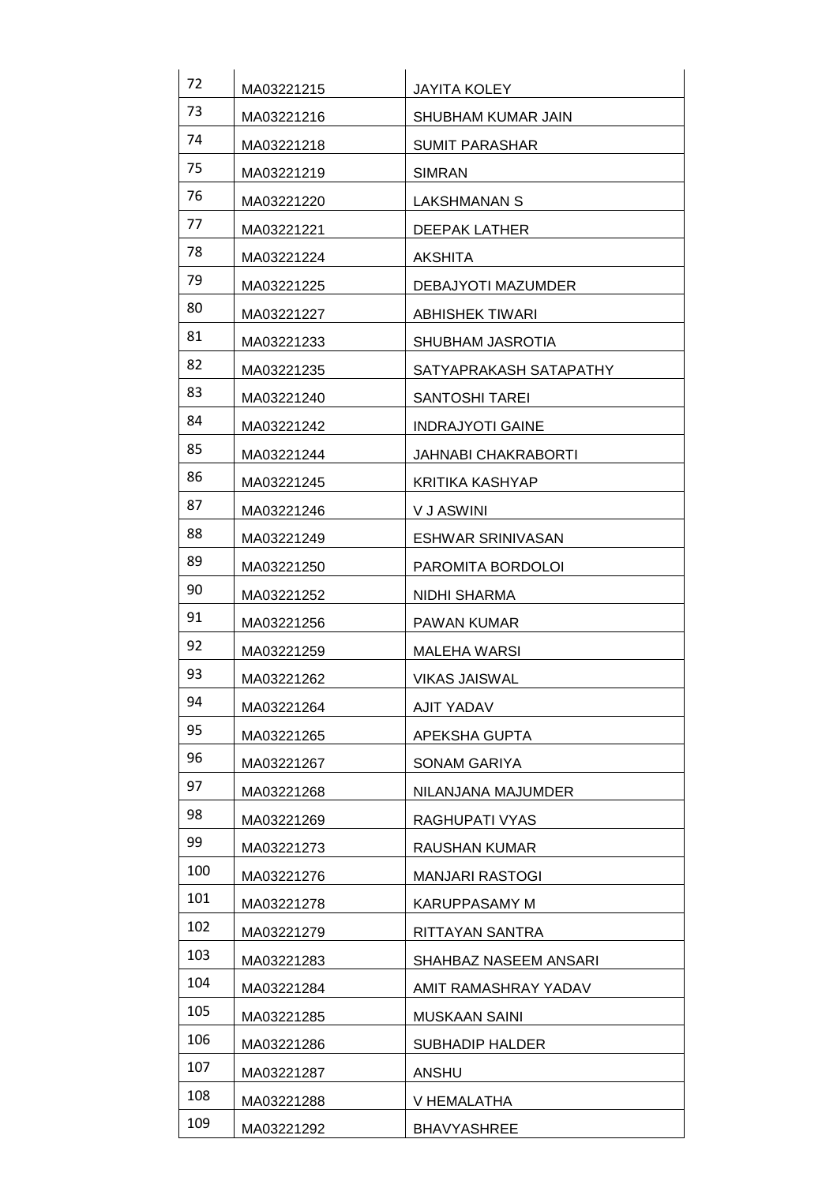| 72  | MA03221215 | <b>JAYITA KOLEY</b>     |
|-----|------------|-------------------------|
| 73  | MA03221216 | SHUBHAM KUMAR JAIN      |
| 74  | MA03221218 | <b>SUMIT PARASHAR</b>   |
| 75  | MA03221219 | <b>SIMRAN</b>           |
| 76  | MA03221220 | LAKSHMANAN S            |
| 77  | MA03221221 | DEEPAK LATHER           |
| 78  | MA03221224 | <b>AKSHITA</b>          |
| 79  | MA03221225 | DEBAJYOTI MAZUMDER      |
| 80  | MA03221227 | <b>ABHISHEK TIWARI</b>  |
| 81  | MA03221233 | SHUBHAM JASROTIA        |
| 82  | MA03221235 | SATYAPRAKASH SATAPATHY  |
| 83  | MA03221240 | <b>SANTOSHI TAREI</b>   |
| 84  | MA03221242 | <b>INDRAJYOTI GAINE</b> |
| 85  | MA03221244 | JAHNABI CHAKRABORTI     |
| 86  | MA03221245 | KRITIKA KASHYAP         |
| 87  | MA03221246 | V J ASWINI              |
| 88  | MA03221249 | ESHWAR SRINIVASAN       |
| 89  | MA03221250 | PAROMITA BORDOLOI       |
| 90  | MA03221252 | NIDHI SHARMA            |
| 91  | MA03221256 | <b>PAWAN KUMAR</b>      |
| 92  | MA03221259 | <b>MALEHA WARSI</b>     |
| 93  | MA03221262 | <b>VIKAS JAISWAL</b>    |
| 94  | MA03221264 | <b>AJIT YADAV</b>       |
| 95  | MA03221265 | APEKSHA GUPTA           |
| 96  | MA03221267 | <b>SONAM GARIYA</b>     |
| 97  | MA03221268 | NILANJANA MAJUMDER      |
| 98  | MA03221269 | RAGHUPATI VYAS          |
| 99  | MA03221273 | RAUSHAN KUMAR           |
| 100 | MA03221276 | <b>MANJARI RASTOGI</b>  |
| 101 | MA03221278 | KARUPPASAMY M           |
| 102 | MA03221279 | RITTAYAN SANTRA         |
| 103 | MA03221283 | SHAHBAZ NASEEM ANSARI   |
| 104 | MA03221284 | AMIT RAMASHRAY YADAV    |
| 105 | MA03221285 | MUSKAAN SAINI           |
| 106 | MA03221286 | <b>SUBHADIP HALDER</b>  |
| 107 | MA03221287 | ANSHU                   |
| 108 | MA03221288 | V HEMALATHA             |
| 109 | MA03221292 | <b>BHAVYASHREE</b>      |